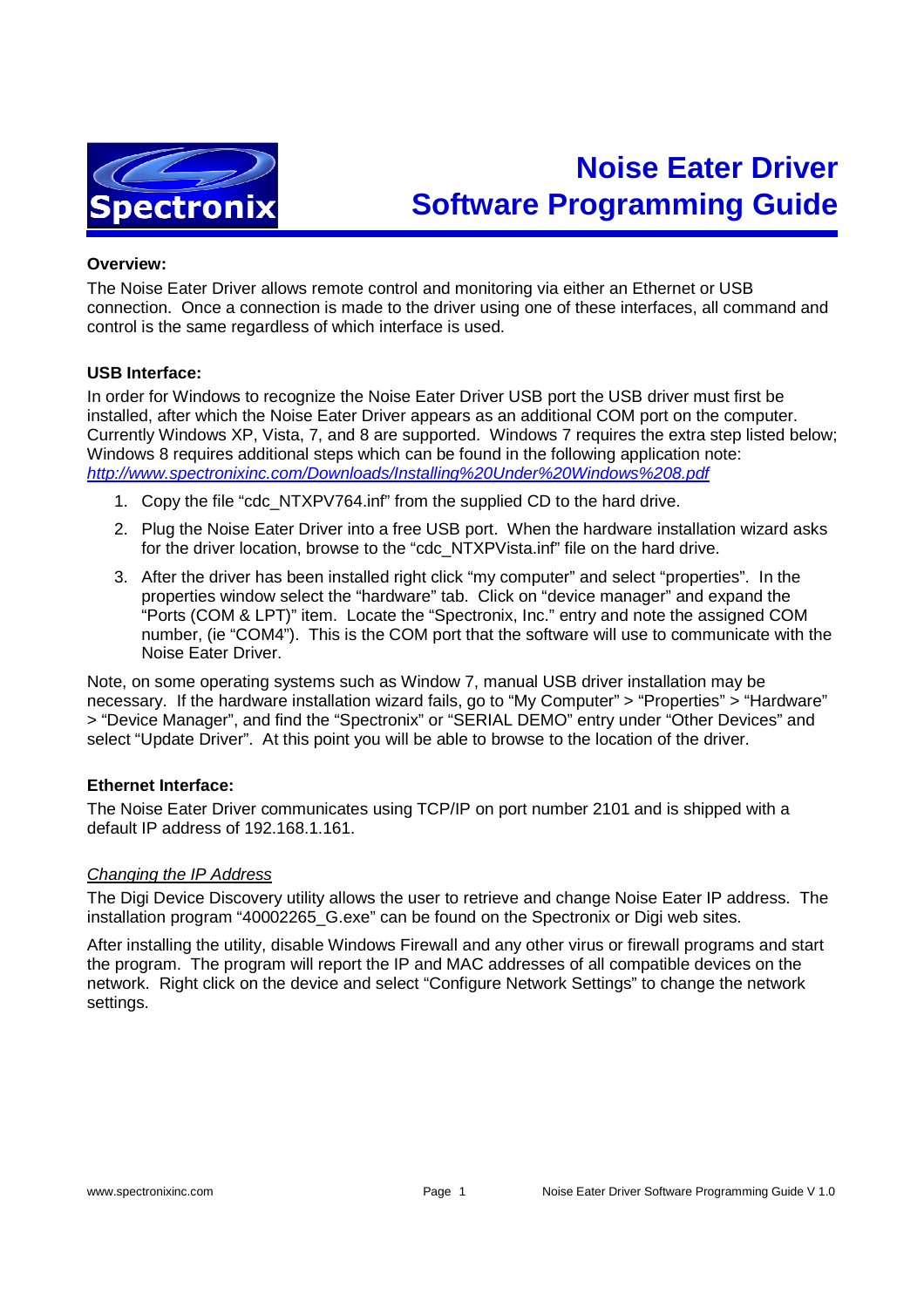

# **Noise Eater Driver Software Programming Guide**

#### **Overview:**

The Noise Eater Driver allows remote control and monitoring via either an Ethernet or USB connection. Once a connection is made to the driver using one of these interfaces, all command and control is the same regardless of which interface is used.

#### **USB Interface:**

In order for Windows to recognize the Noise Eater Driver USB port the USB driver must first be installed, after which the Noise Eater Driver appears as an additional COM port on the computer. Currently Windows XP, Vista, 7, and 8 are supported. Windows 7 requires the extra step listed below; Windows 8 requires additional steps which can be found in the following application note: http://www.spectronixinc.com/Downloads/Installing%20Under%20Windows%208.pdf

- 1. Copy the file "cdc\_NTXPV764.inf" from the supplied CD to the hard drive.
- 2. Plug the Noise Eater Driver into a free USB port. When the hardware installation wizard asks for the driver location, browse to the "cdc\_NTXPVista.inf" file on the hard drive.
- 3. After the driver has been installed right click "my computer" and select "properties". In the properties window select the "hardware" tab. Click on "device manager" and expand the "Ports (COM & LPT)" item. Locate the "Spectronix, Inc." entry and note the assigned COM number, (ie "COM4"). This is the COM port that the software will use to communicate with the Noise Eater Driver.

Note, on some operating systems such as Window 7, manual USB driver installation may be necessary. If the hardware installation wizard fails, go to "My Computer" > "Properties" > "Hardware" > "Device Manager", and find the "Spectronix" or "SERIAL DEMO" entry under "Other Devices" and select "Update Driver". At this point you will be able to browse to the location of the driver.

## **Ethernet Interface:**

The Noise Eater Driver communicates using TCP/IP on port number 2101 and is shipped with a default IP address of 192.168.1.161.

#### Changing the IP Address

The Digi Device Discovery utility allows the user to retrieve and change Noise Eater IP address. The installation program "40002265 G.exe" can be found on the Spectronix or Digi web sites.

After installing the utility, disable Windows Firewall and any other virus or firewall programs and start the program. The program will report the IP and MAC addresses of all compatible devices on the network. Right click on the device and select "Configure Network Settings" to change the network settings.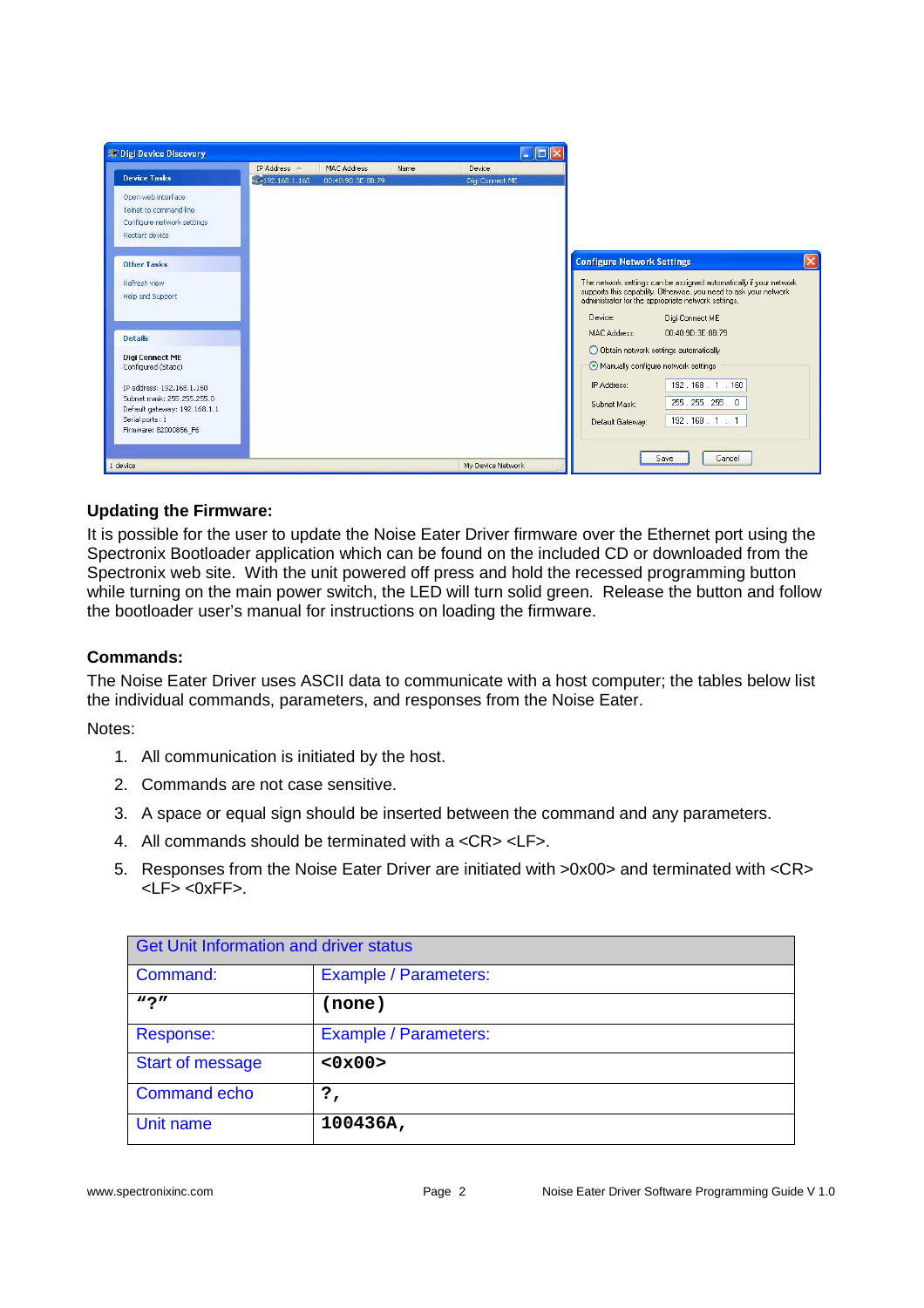

# **Updating the Firmware:**

It is possible for the user to update the Noise Eater Driver firmware over the Ethernet port using the Spectronix Bootloader application which can be found on the included CD or downloaded from the Spectronix web site. With the unit powered off press and hold the recessed programming button while turning on the main power switch, the LED will turn solid green. Release the button and follow the bootloader user's manual for instructions on loading the firmware.

## **Commands:**

The Noise Eater Driver uses ASCII data to communicate with a host computer; the tables below list the individual commands, parameters, and responses from the Noise Eater.

Notes:

- 1. All communication is initiated by the host.
- 2. Commands are not case sensitive.
- 3. A space or equal sign should be inserted between the command and any parameters.
- 4. All commands should be terminated with a <CR> <LF>.
- 5. Responses from the Noise Eater Driver are initiated with >0x00> and terminated with <CR> <LF> <0xFF>.

| <b>Get Unit Information and driver status</b> |                              |
|-----------------------------------------------|------------------------------|
| Command:                                      | <b>Example / Parameters:</b> |
| $\bf{v}$ $\bf{v}$                             | (none)                       |
| Response:                                     | Example / Parameters:        |
| <b>Start of message</b>                       | <0x00>                       |
| <b>Command echo</b>                           | ?,                           |
| Unit name                                     | 100436A,                     |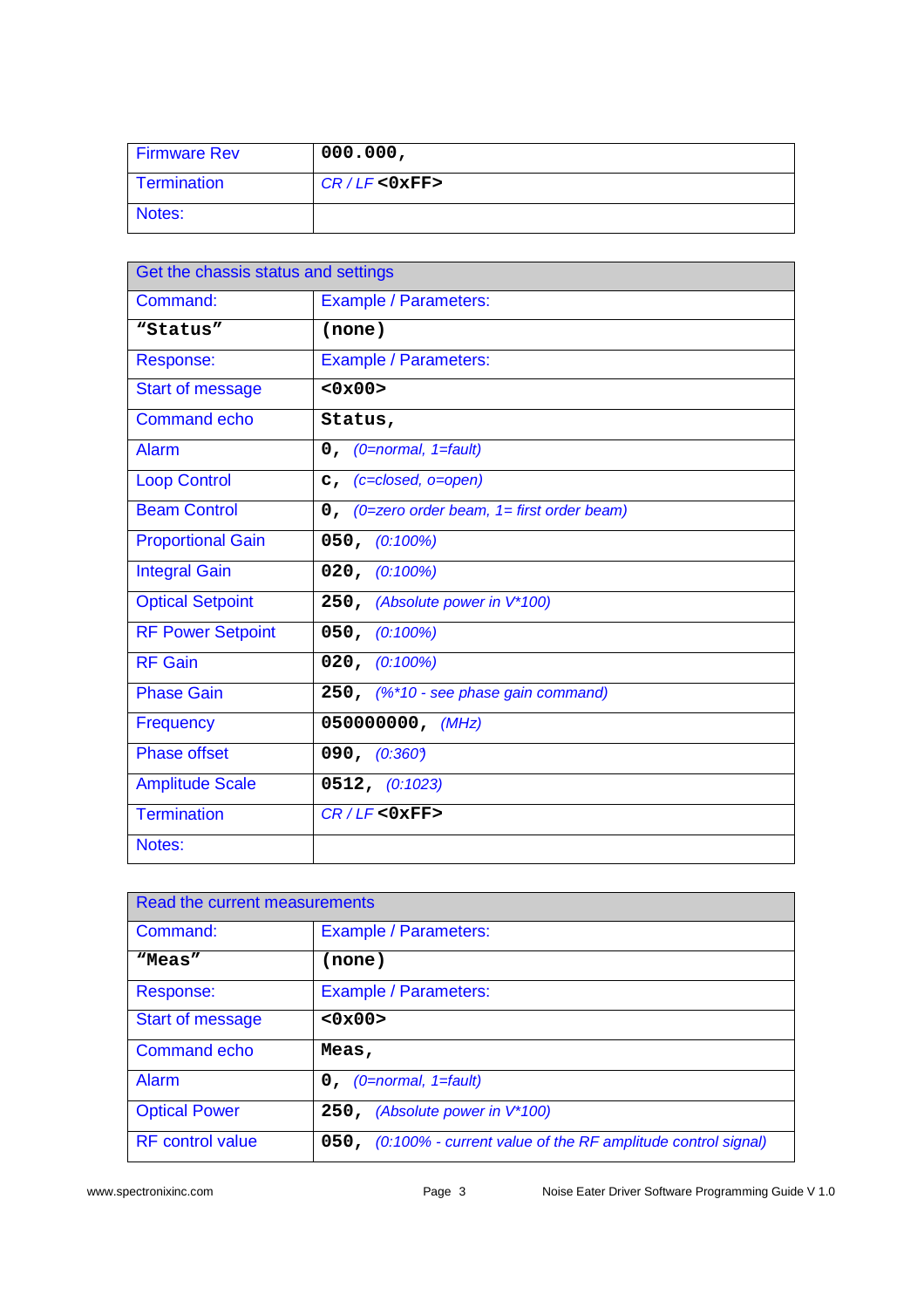| <b>Firmware Rev</b> | 000.000,        |
|---------------------|-----------------|
| Termination         | $CR/LF <0$ xFF> |
| Notes:              |                 |

| Get the chassis status and settings |                                                |  |
|-------------------------------------|------------------------------------------------|--|
| Command:                            | <b>Example / Parameters:</b>                   |  |
| "Status"                            | (none)                                         |  |
| Response:                           | <b>Example / Parameters:</b>                   |  |
| <b>Start of message</b>             | $<0 \times 00$                                 |  |
| <b>Command echo</b>                 | Status,                                        |  |
| Alarm                               | $0,$ (0=normal, 1=fault)                       |  |
| <b>Loop Control</b>                 | $c$ , (c=closed, o=open)                       |  |
| <b>Beam Control</b>                 | $0$ , (0=zero order beam, 1= first order beam) |  |
| <b>Proportional Gain</b>            | $050, (0.100\%)$                               |  |
| <b>Integral Gain</b>                | 020, (0:100%)                                  |  |
| <b>Optical Setpoint</b>             | 250, (Absolute power in V*100)                 |  |
| <b>RF Power Setpoint</b>            | 050, (0:100%)                                  |  |
| <b>RF</b> Gain                      | $020, (0.100\%)$                               |  |
| <b>Phase Gain</b>                   | 250, (%*10 - see phase gain command)           |  |
| Frequency                           | 050000000, (MHz)                               |  |
| <b>Phase offset</b>                 | 090, $(0.360)$                                 |  |
| <b>Amplitude Scale</b>              | 0512, (0:1023)                                 |  |
| <b>Termination</b>                  | $CR/LF <0$ xFF>                                |  |
| Notes:                              |                                                |  |

| Read the current measurements |                                                                  |
|-------------------------------|------------------------------------------------------------------|
| Command:                      | Example / Parameters:                                            |
| "Meas"                        | (none)                                                           |
| Response:                     | Example / Parameters:                                            |
| <b>Start of message</b>       | <0x00>                                                           |
| <b>Command echo</b>           | Meas,                                                            |
| Alarm                         | $0,$ (0=normal, 1=fault)                                         |
| <b>Optical Power</b>          | 250, (Absolute power in V*100)                                   |
| <b>RF</b> control value       | 050, (0:100% - current value of the RF amplitude control signal) |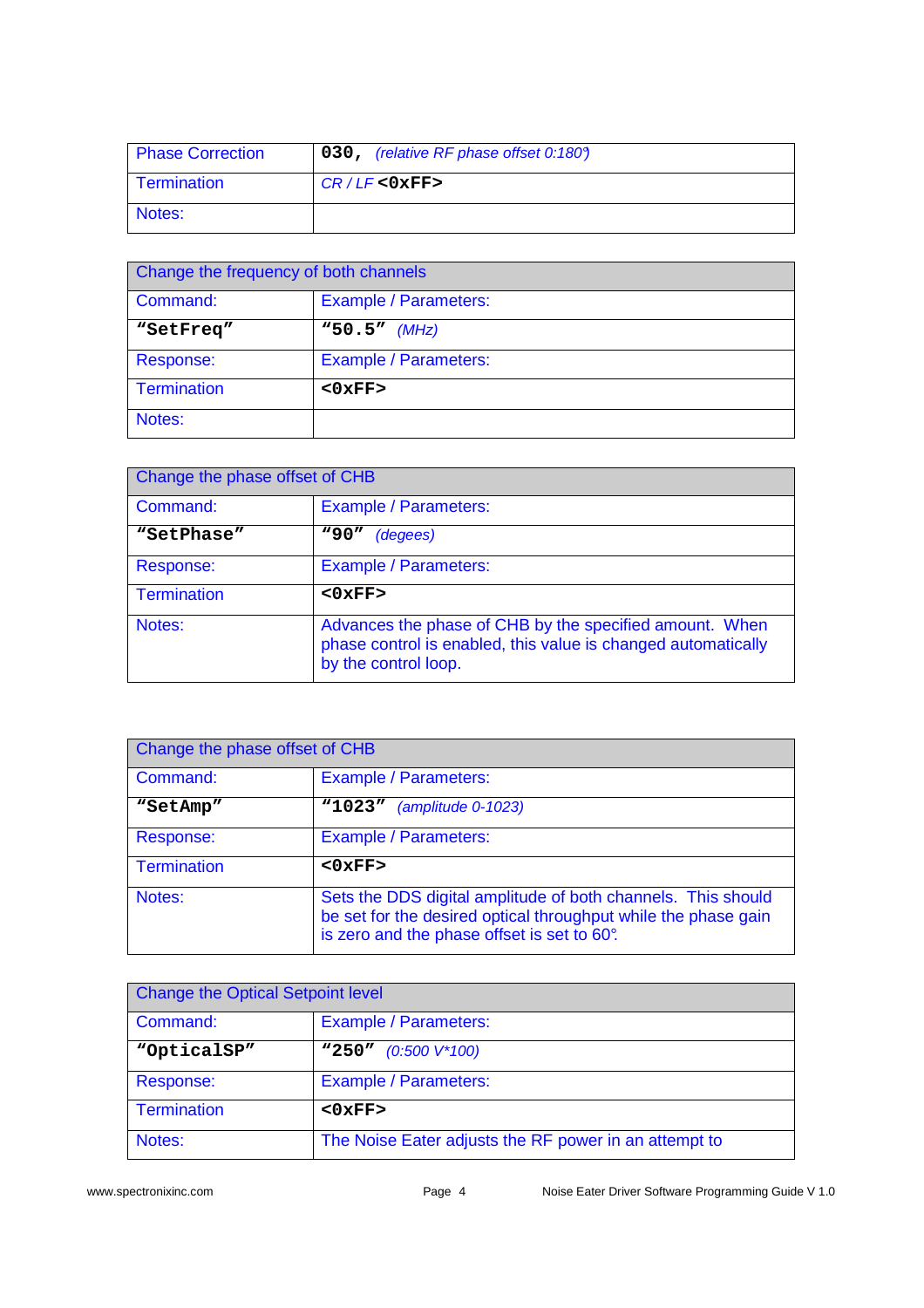| <b>Phase Correction</b> | 030, (relative RF phase offset 0:1809) |
|-------------------------|----------------------------------------|
| Termination             | $CR/LF <0$ xFF>                        |
| Notes:                  |                                        |

| Change the frequency of both channels |                        |
|---------------------------------------|------------------------|
| Command:                              | Example / Parameters:  |
| "SetFreq"                             | $^{\rm w}50.5''$ (MHz) |
| Response:                             | Example / Parameters:  |
| <b>Termination</b>                    | $<0$ $xFF$             |
| Notes:                                |                        |

| Change the phase offset of CHB |                                                                                                                                                  |
|--------------------------------|--------------------------------------------------------------------------------------------------------------------------------------------------|
| Command:                       | <b>Example / Parameters:</b>                                                                                                                     |
| "SetPhase"                     | <b>"90"</b><br>(degees)                                                                                                                          |
| Response:                      | <b>Example / Parameters:</b>                                                                                                                     |
| <b>Termination</b>             | $<0$ $xFF$                                                                                                                                       |
| Notes:                         | Advances the phase of CHB by the specified amount. When<br>phase control is enabled, this value is changed automatically<br>by the control loop. |

| Change the phase offset of CHB |                                                                                                                                                                               |
|--------------------------------|-------------------------------------------------------------------------------------------------------------------------------------------------------------------------------|
| Command:                       | Example / Parameters:                                                                                                                                                         |
| "SetAmp"                       | "1023"<br>(amplitude 0-1023)                                                                                                                                                  |
| Response:                      | Example / Parameters:                                                                                                                                                         |
| <b>Termination</b>             | $<0$ $xFF$                                                                                                                                                                    |
| Notes:                         | Sets the DDS digital amplitude of both channels. This should<br>be set for the desired optical throughput while the phase gain<br>is zero and the phase offset is set to 60°. |

| <b>Change the Optical Setpoint level</b> |                                                       |
|------------------------------------------|-------------------------------------------------------|
| Command:                                 | <b>Example / Parameters:</b>                          |
| "OpticalSP"                              | "250"<br>$(0.500 V*100)$                              |
| Response:                                | <b>Example / Parameters:</b>                          |
| Termination                              | $<0$ $xFF$                                            |
| Notes:                                   | The Noise Eater adjusts the RF power in an attempt to |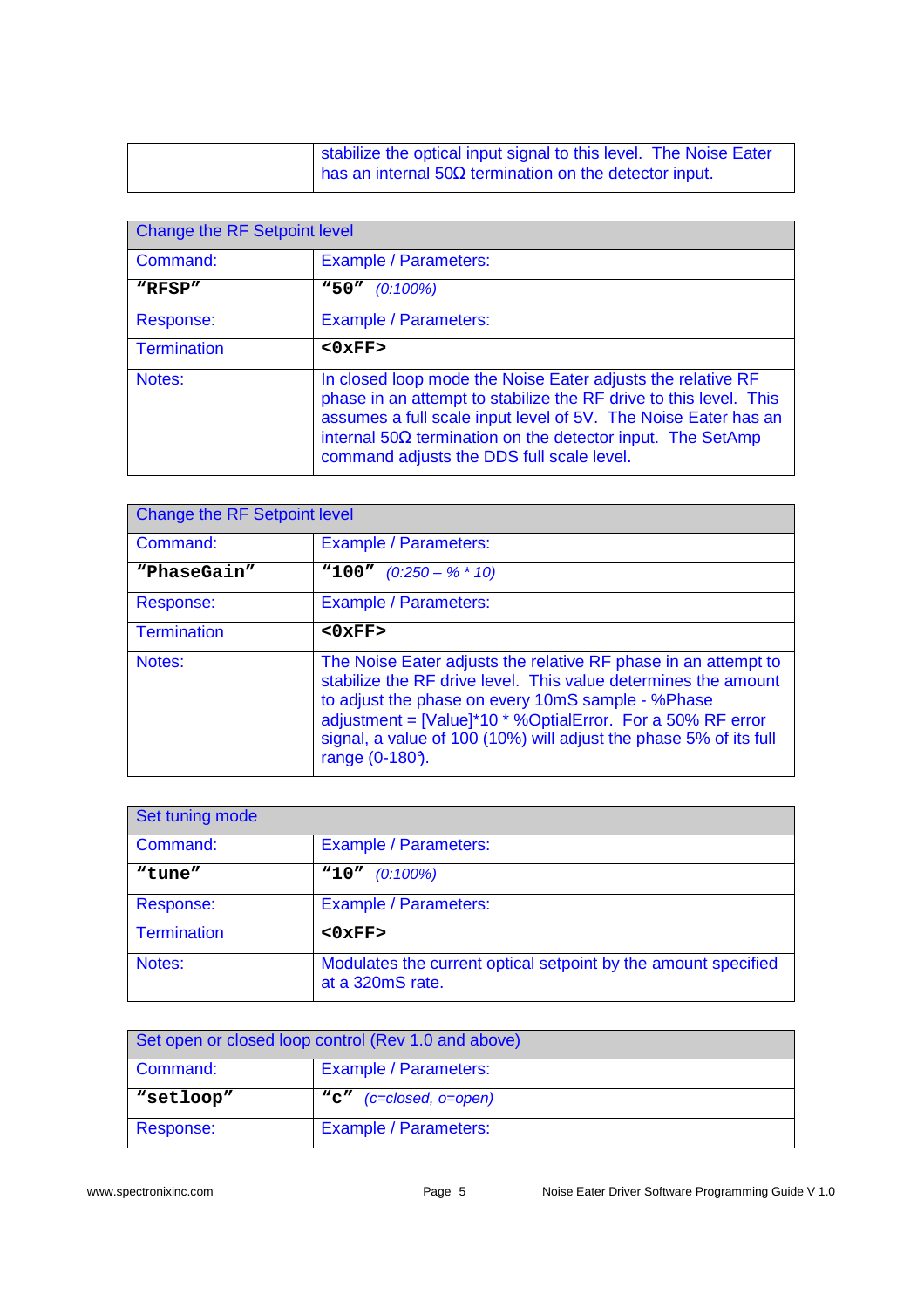| stabilize the optical input signal to this level. The Noise Eater |
|-------------------------------------------------------------------|
| has an internal $50\Omega$ termination on the detector input.     |

| Change the RF Setpoint level |                                                                                                                                                                                                                                                                                                                      |  |
|------------------------------|----------------------------------------------------------------------------------------------------------------------------------------------------------------------------------------------------------------------------------------------------------------------------------------------------------------------|--|
| Command:                     | <b>Example / Parameters:</b>                                                                                                                                                                                                                                                                                         |  |
| "RFSP"                       | "50"<br>$(0:100\%)$                                                                                                                                                                                                                                                                                                  |  |
| Response:                    | <b>Example / Parameters:</b>                                                                                                                                                                                                                                                                                         |  |
| <b>Termination</b>           | $<0$ $xFF$                                                                                                                                                                                                                                                                                                           |  |
| Notes:                       | In closed loop mode the Noise Eater adjusts the relative RF<br>phase in an attempt to stabilize the RF drive to this level. This<br>assumes a full scale input level of 5V. The Noise Eater has an<br>internal $50\Omega$ termination on the detector input. The SetAmp<br>command adjusts the DDS full scale level. |  |

| Change the RF Setpoint level |                                                                                                                                                                                                                                                                                                                                            |  |
|------------------------------|--------------------------------------------------------------------------------------------------------------------------------------------------------------------------------------------------------------------------------------------------------------------------------------------------------------------------------------------|--|
| Command:                     | Example / Parameters:                                                                                                                                                                                                                                                                                                                      |  |
| "PhaseGain"                  | <b>"100"</b> $(0.250 - % * 10)$                                                                                                                                                                                                                                                                                                            |  |
| Response:                    | Example / Parameters:                                                                                                                                                                                                                                                                                                                      |  |
| <b>Termination</b>           | $<0$ $xFF$                                                                                                                                                                                                                                                                                                                                 |  |
| Notes:                       | The Noise Eater adjusts the relative RF phase in an attempt to<br>stabilize the RF drive level. This value determines the amount<br>to adjust the phase on every 10mS sample - %Phase<br>adjustment = [Value]*10 * %OptialError. For a 50% RF error<br>signal, a value of 100 (10%) will adjust the phase 5% of its full<br>range (0-180). |  |

| Set tuning mode |                                                                                    |
|-----------------|------------------------------------------------------------------------------------|
| Command:        | Example / Parameters:                                                              |
| "tune"          | $"10"$ (0:100%)                                                                    |
| Response:       | Example / Parameters:                                                              |
| Termination     | $<0$ $xFF$ >                                                                       |
| Notes:          | Modulates the current optical setpoint by the amount specified<br>at a 320mS rate. |

| Set open or closed loop control (Rev 1.0 and above) |                              |
|-----------------------------------------------------|------------------------------|
| Command:                                            | <b>Example / Parameters:</b> |
| "setloop"                                           | "c" (c=closed, o=open)       |
| Response:                                           | Example / Parameters:        |